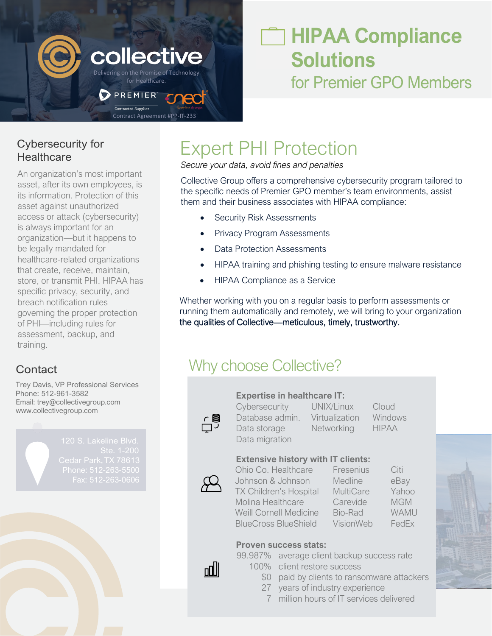

## **HIPAA Compliance Solutions** for Premier GPO Members

Cybersecurity for **Healthcare** 

An organization's most important asset, after its own employees, is its information. Protection of this asset against unauthorized access or attack (cybersecurity) is always important for an organization—but it happens to be legally mandated for healthcare-related organizations that create, receive, maintain, store, or transmit PHI. HIPAA has specific privacy, security, and breach notification rules governing the proper protection of PHI—including rules for assessment, backup, and training.

Trey Davis, VP Professional Services Phone: 512-961-3582 Email: trey@collectivegroup.com [www.collectivegroup.com](http://www.collectivegroup.com/)

# Expert PHI Protection

*Secure your data, avoid fines and penalties*

Collective Group offers a comprehensive cybersecurity program tailored to the specific needs of Premier GPO member's team environments, assist them and their business associates with HIPAA compliance:

- Security Risk Assessments
- Privacy Program Assessments
- Data Protection Assessments
- HIPAA training and phishing testing to ensure malware resistance
- HIPAA Compliance as a Service

Whether working with you on a regular basis to perform assessments or running them automatically and remotely, we will bring to your organization the qualities of Collective—meticulous, timely, trustworthy.

### **Contact Contact Contact Contact Contact Contact Contact Contact Contact Contact Contact Contact Contact Contact Contact Contact Contact Contact Contact Contact Contact Contact Contact Contact Contact Contact Contact Conta**

#### **Expertise in healthcare IT:**

台

Cybersecurity UNIX/Linux Cloud Database admin. Virtualization Windows Data storage Metworking HIPAA

Data migration

### **Extensive history with IT clients:**

nnlll

Ohio Co. Healthcare Fresenius Citi Johnson & Johnson Medline eBay TX Children's Hospital MultiCare Yahoo Molina Healthcare Carevide MGM Weill Cornell Medicine Bio-Rad WAMU BlueCross BlueShield VisionWeb FedEx



#### **Proven success stats:** 99.987% average client backup success rate

- 100% client restore success
	- \$0 paid by clients to ransomware attackers
	- 27 years of industry experience
	- 7 million hours of IT services delivered